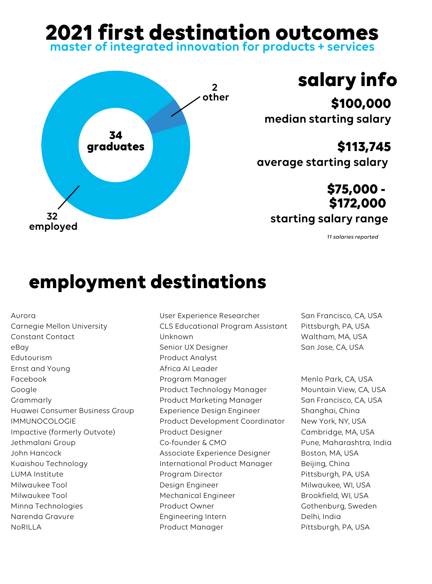## **2021 first destination outcomes**

**master of integrated innovation for products + services**



## **salary info**

**\$100,000 median starting salary**

**\$113,745 average starting salary**

> **\$75,000 - \$172,000**

> > *11 salaries reported*

## **employment destinations**

Aurora Carnegie Mellon University Constant Contact eBay Edutourism Ernst and Young Facebook Google Grammarly Huawei Consumer Business Group IMMUNOCOLOGIE Impactive (formerly Outvote) Jethmalani Group John Hancock Kuaishou Technology LUMA Institute Milwaukee Tool Milwaukee Tool Minna Technologies Narenda Gravure NoRILLA

User Experience Researcher CLS Educational Program Assistant Unknown Senior UX Designer Product Analyst Africa AI Leader Program Manager Product Technology Manager Product Marketing Manager Experience Design Engineer Product Development Coordinator Product Designer Co-founder & CMO Associate Experience Designer International Product Manager Program Director Design Engineer Mechanical Engineer Product Owner Engineering Intern Product Manager

San Francisco, CA, USA Pittsburgh, PA, USA Waltham, MA, USA San Jose, CA, USA

Menlo Park, CA, USA Mountain View, CA, USA San Francisco, CA, USA Shanghai, China New York, NY, USA Cambridge, MA, USA Pune, Maharashtra, India Boston, MA, USA Beijing, China Pittsburgh, PA, USA Milwaukee, WI, USA Brookfield, WI, USA Gothenburg, Sweden Delhi, India Pittsburgh, PA, USA